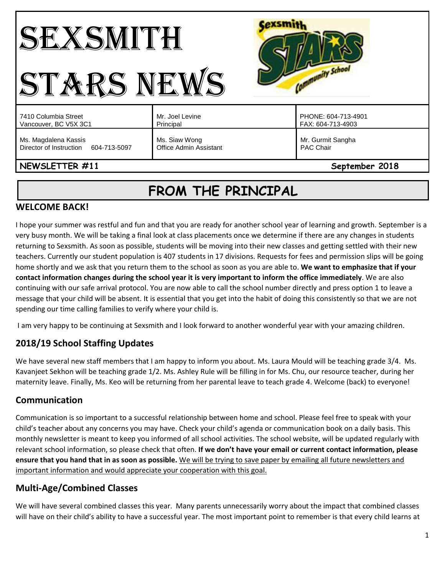# SEXSMITH STARS NEWS



| 7410 Columbia Street                 | Mr. Joel Levine               | PHONE: 604-713-4901 |
|--------------------------------------|-------------------------------|---------------------|
| Vancouver, BC V5X 3C1                | Principal                     | FAX: 604-713-4903   |
| Ms. Magdalena Kassis                 | Ms. Siaw Wong                 | Mr. Gurmit Sangha   |
| Director of Instruction 604-713-5097 | <b>Office Admin Assistant</b> | <b>PAC Chair</b>    |

# **NEWSLETTER #11** September 2018

# **FROM THE PRINCIPAL**

# **WELCOME BACK!**

I hope your summer was restful and fun and that you are ready for another school year of learning and growth. September is a very busy month. We will be taking a final look at class placements once we determine if there are any changes in students returning to Sexsmith. As soon as possible, students will be moving into their new classes and getting settled with their new teachers. Currently our student population is 407 students in 17 divisions. Requests for fees and permission slips will be going home shortly and we ask that you return them to the school as soon as you are able to. **We want to emphasize that if your contact information changes during the school year it is very important to inform the office immediately**. We are also continuing with our safe arrival protocol. You are now able to call the school number directly and press option 1 to leave a message that your child will be absent. It is essential that you get into the habit of doing this consistently so that we are not spending our time calling families to verify where your child is.

I am very happy to be continuing at Sexsmith and I look forward to another wonderful year with your amazing children.

# **2018/19 School Staffing Updates**

We have several new staff members that I am happy to inform you about. Ms. Laura Mould will be teaching grade 3/4. Ms. Kavanjeet Sekhon will be teaching grade 1/2. Ms. Ashley Rule will be filling in for Ms. Chu, our resource teacher, during her maternity leave. Finally, Ms. Keo will be returning from her parental leave to teach grade 4. Welcome (back) to everyone!

# **Communication**

Communication is so important to a successful relationship between home and school. Please feel free to speak with your child's teacher about any concerns you may have. Check your child's agenda or communication book on a daily basis. This monthly newsletter is meant to keep you informed of all school activities. The school website, will be updated regularly with relevant school information, so please check that often. **If we don't have your email or current contact information, please ensure that you hand that in as soon as possible.** We will be trying to save paper by emailing all future newsletters and important information and would appreciate your cooperation with this goal.

# **Multi-Age/Combined Classes**

We will have several combined classes this year. Many parents unnecessarily worry about the impact that combined classes will have on their child's ability to have a successful year. The most important point to remember is that every child learns at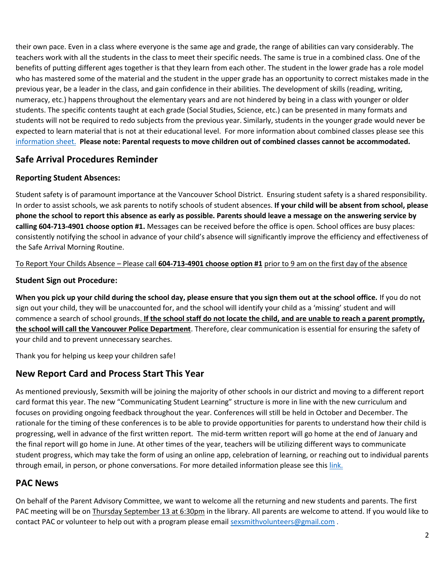their own pace. Even in a class where everyone is the same age and grade, the range of abilities can vary considerably. The teachers work with all the students in the class to meet their specific needs. The same is true in a combined class. One of the benefits of putting different ages together is that they learn from each other. The student in the lower grade has a role model who has mastered some of the material and the student in the upper grade has an opportunity to correct mistakes made in the previous year, be a leader in the class, and gain confidence in their abilities. The development of skills (reading, writing, numeracy, etc.) happens throughout the elementary years and are not hindered by being in a class with younger or older students. The specific contents taught at each grade (Social Studies, Science, etc.) can be presented in many formats and students will not be required to redo subjects from the previous year. Similarly, students in the younger grade would never be expected to learn material that is not at their educational level. For more information about combined classes please see this [information sheet.](http://go.vsb.bc.ca/schools/sxs/Publications/Multi-Age%20Classes.pdf) **Please note: Parental requests to move children out of combined classes cannot be accommodated.** 

# **Safe Arrival Procedures Reminder**

#### **Reporting Student Absences:**

Student safety is of paramount importance at the Vancouver School District. Ensuring student safety is a shared responsibility. In order to assist schools, we ask parents to notify schools of student absences. **If your child will be absent from school, please phone the school to report this absence as early as possible. Parents should leave a message on the answering service by calling 604-713-4901 choose option #1.** Messages can be received before the office is open. School offices are busy places: consistently notifying the school in advance of your child's absence will significantly improve the efficiency and effectiveness of the Safe Arrival Morning Routine.

#### To Report Your Childs Absence – Please call **604-713-4901 choose option #1** prior to 9 am on the first day of the absence

#### **Student Sign out Procedure:**

**When you pick up your child during the school day, please ensure that you sign them out at the school office.** If you do not sign out your child, they will be unaccounted for, and the school will identify your child as a 'missing' student and will commence a search of school grounds. **If the school staff do not locate the child, and are unable to reach a parent promptly, the school will call the Vancouver Police Department**. Therefore, clear communication is essential for ensuring the safety of your child and to prevent unnecessary searches.

Thank you for helping us keep your children safe!

# **New Report Card and Process Start This Year**

As mentioned previously, Sexsmith will be joining the majority of other schools in our district and moving to a different report card format this year. The new "Communicating Student Learning" structure is more in line with the new curriculum and focuses on providing ongoing feedback throughout the year. Conferences will still be held in October and December. The rationale for the timing of these conferences is to be able to provide opportunities for parents to understand how their child is progressing, well in advance of the first written report. The mid-term written report will go home at the end of January and the final report will go home in June. At other times of the year, teachers will be utilizing different ways to communicate student progress, which may take the form of using an online app, celebration of learning, or reaching out to individual parents through email, in person, or phone conversations. For more detailed information please see this [link.](http://go.vsb.bc.ca/schools/sxs/Publications/CSL%20presentation%20for%20parents%20Jan18.pdf)

## **PAC News**

On behalf of the Parent Advisory Committee, we want to welcome all the returning and new students and parents. The first PAC meeting will be on Thursday September 13 at 6:30pm in the library. All parents are welcome to attend. If you would like to contact PAC or volunteer to help out with a program please email [sexsmithvolunteers@gmail.com](mailto:sexsmithvolunteers@gmail.com).